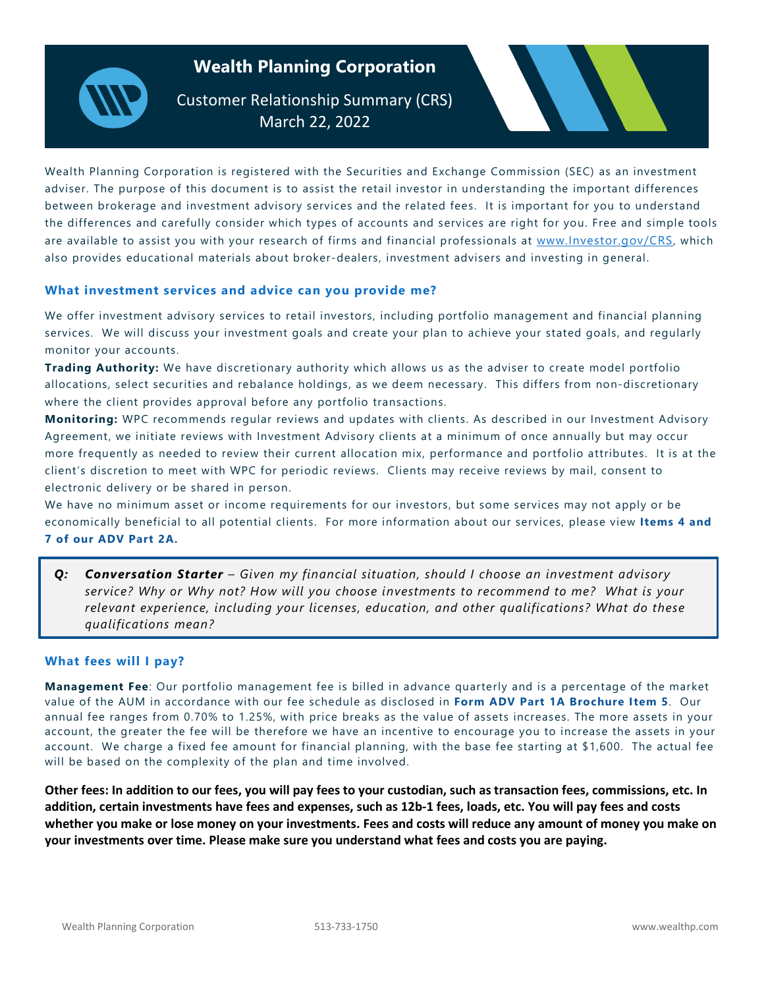# **Wealth Planning Corporation**

Customer Relationship Summary (CRS) **March 22, 2022** 

Wealth Planning Corporation is registered with the Securities and Exchange Commission (SEC) as an investment adviser. The purpose of this document is to assist the retail investor in understanding the important differences between brokerage and investment advisory services and the related fees. It is important for you to understand the differences and carefully consider which types of accounts and services are right for you. Free and simple tools are available to assist you with your research of firms and financial professionals at www.Investor.gov/CRS, which also provides educational materials about broker-dealers, investment advisers and investing in general.

## **What investment services and advice can you provide me?**

We offer investment advisory services to retail investors, including portfolio management and financial planning services. We will discuss your investment goals and create your plan to achieve your stated goals, and regularly monitor your accounts.

**Trading Authority:** We have discretionary authority which allows us as the adviser to create model portfolio allocations, select securities and rebalance holdings, as we deem necessary. This differs from non-discretionary where the client provides approval before any portfolio transactions.

**Monitoring:** WPC recommends regular reviews and updates with clients. As described in our Investment Advisory Agreement, we initiate reviews with Investment Advisory clients at a minimum of once annually but may occur more frequently as needed to review their current allocation mix, performance and portfolio attributes. It is at the client's discretion to meet with WPC for periodic reviews. Clients may receive reviews by mail, consent to electronic delivery or be shared in person.

We have no minimum asset or income requirements for our investors, but some services may not apply or be economically beneficial to all potential clients. For more information about our services, please view **Items 4 and 7 of our ADV Part 2A.** 

*Q: Conversation Starter – Given my financial situation, should I choose an investment advisory service? Why or Why not? How will you choose investments to recommend to me? What is your relevant experience, including your licenses, education, and other qualifications? What do these qualifications mean?*

## **What fees will I pay?**

**Management Fee**: Our portfolio management fee is billed in advance quarterly and is a percentage of the market value of the AUM in accordance with our fee schedule as disclosed in **Form ADV Part 1A Brochure Item 5**. Our annual fee ranges from 0.70% to 1.25%, with price breaks as the value of assets increases. The more assets in your account, the greater the fee will be therefore we have an incentive to encourage you to increase the assets in your account. We charge a fixed fee amount for financial planning, with the base fee starting at \$1,600. The actual fee will be based on the complexity of the plan and time involved.

**Other fees: In addition to our fees, you will pay fees to your custodian, such as transaction fees, commissions, etc. In addition, certain investments have fees and expenses, such as 12b-1 fees, loads, etc. You will pay fees and costs whether you make or lose money on your investments. Fees and costs will reduce any amount of money you make on your investments over time. Please make sure you understand what fees and costs you are paying.**